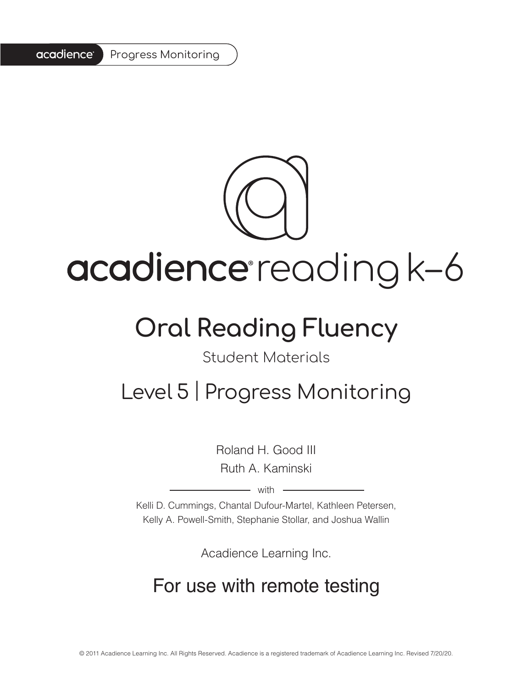#### acadience<sup>®</sup> Progress Monitoring



# acadience reading k-6

## **Oral Reading Fluency**

#### Student Materials

### Level 5 | Progress Monitoring

Roland H. Good III Ruth A. Kaminski

 $-$  with  $-$ 

Kelli D. Cummings, Chantal Dufour-Martel, Kathleen Petersen, Kelly A. Powell-Smith, Stephanie Stollar, and Joshua Wallin

Acadience Learning Inc.

### For use with remote testing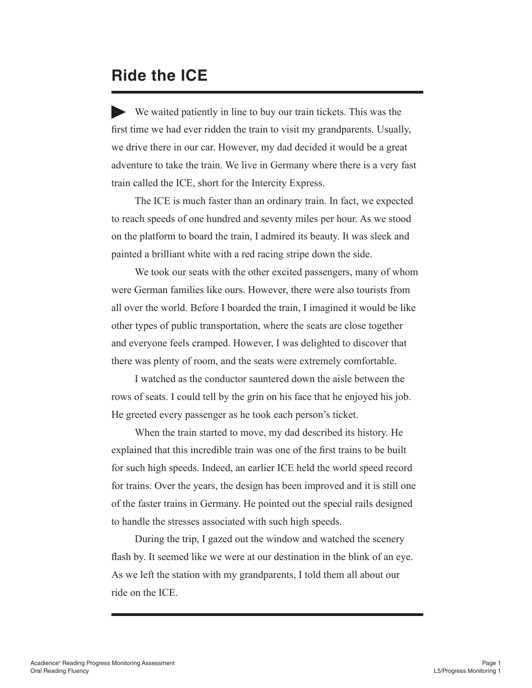#### **Ride the ICE**

We waited patiently in line to buy our train tickets. This was the first time we had ever ridden the train to visit my grandparents. Usually, we drive there in our car. However, my dad decided it would be a great adventure to take the train. We live in Germany where there is a very fast train called the ICE, short for the Intercity Express.

The ICE is much faster than an ordinary train. In fact, we expected to reach speeds of one hundred and seventy miles per hour. As we stood on the platform to board the train, I admired its beauty. It was sleek and painted a brilliant white with a red racing stripe down the side.

We took our seats with the other excited passengers, many of whom were German families like ours. However, there were also tourists from all over the world. Before I boarded the train, I imagined it would be like other types of public transportation, where the seats are close together and everyone feels cramped. However, I was delighted to discover that there was plenty of room, and the seats were extremely comfortable.

I watched as the conductor sauntered down the aisle between the rows of seats. I could tell by the grin on his face that he enjoyed his job. He greeted every passenger as he took each person's ticket.

When the train started to move, my dad described its history. He explained that this incredible train was one of the first trains to be built for such high speeds. Indeed, an earlier ICE held the world speed record for trains. Over the years, the design has been improved and it is still one of the faster trains in Germany. He pointed out the special rails designed to handle the stresses associated with such high speeds.

During the trip, I gazed out the window and watched the scenery flash by. It seemed like we were at our destination in the blink of an eye. As we left the station with my grandparents, I told them all about our ride on the ICE.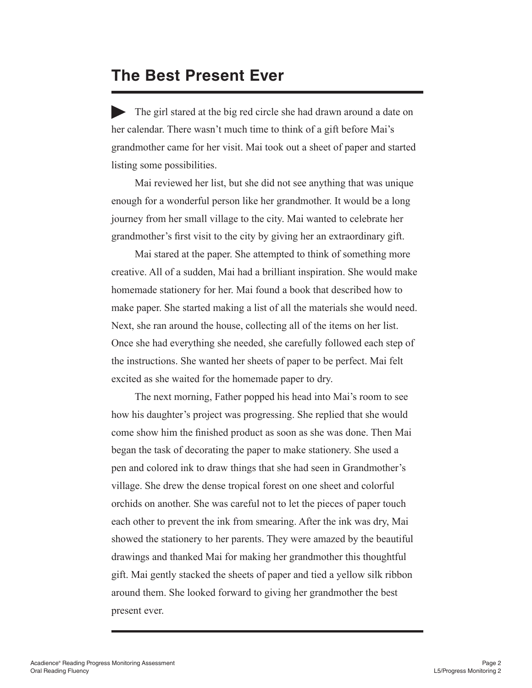#### **The Best Present Ever**

The girl stared at the big red circle she had drawn around a date on her calendar. There wasn't much time to think of a gift before Mai's grandmother came for her visit. Mai took out a sheet of paper and started listing some possibilities.

Mai reviewed her list, but she did not see anything that was unique enough for a wonderful person like her grandmother. It would be a long journey from her small village to the city. Mai wanted to celebrate her grandmother's first visit to the city by giving her an extraordinary gift.

Mai stared at the paper. She attempted to think of something more creative. All of a sudden, Mai had a brilliant inspiration. She would make homemade stationery for her. Mai found a book that described how to make paper. She started making a list of all the materials she would need. Next, she ran around the house, collecting all of the items on her list. Once she had everything she needed, she carefully followed each step of the instructions. She wanted her sheets of paper to be perfect. Mai felt excited as she waited for the homemade paper to dry.

The next morning, Father popped his head into Mai's room to see how his daughter's project was progressing. She replied that she would come show him the finished product as soon as she was done. Then Mai began the task of decorating the paper to make stationery. She used a pen and colored ink to draw things that she had seen in Grandmother's village. She drew the dense tropical forest on one sheet and colorful orchids on another. She was careful not to let the pieces of paper touch each other to prevent the ink from smearing. After the ink was dry, Mai showed the stationery to her parents. They were amazed by the beautiful drawings and thanked Mai for making her grandmother this thoughtful gift. Mai gently stacked the sheets of paper and tied a yellow silk ribbon around them. She looked forward to giving her grandmother the best present ever.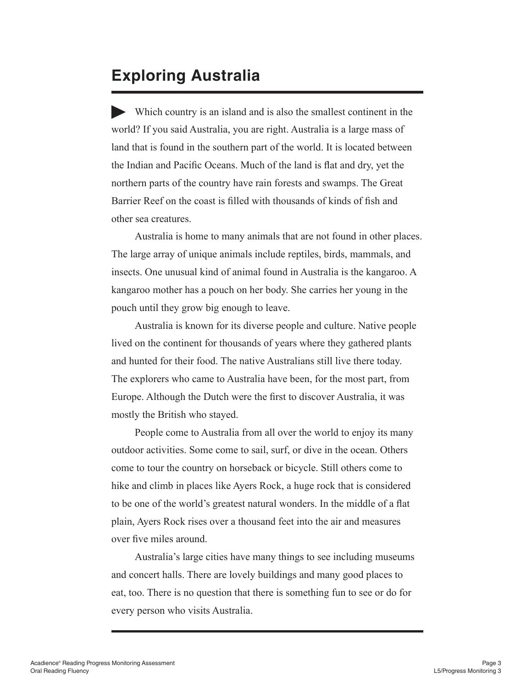#### **Exploring Australia**

Which country is an island and is also the smallest continent in the world? If you said Australia, you are right. Australia is a large mass of land that is found in the southern part of the world. It is located between the Indian and Pacific Oceans. Much of the land is flat and dry, yet the northern parts of the country have rain forests and swamps. The Great Barrier Reef on the coast is filled with thousands of kinds of fish and other sea creatures.

Australia is home to many animals that are not found in other places. The large array of unique animals include reptiles, birds, mammals, and insects. One unusual kind of animal found in Australia is the kangaroo. A kangaroo mother has a pouch on her body. She carries her young in the pouch until they grow big enough to leave.

Australia is known for its diverse people and culture. Native people lived on the continent for thousands of years where they gathered plants and hunted for their food. The native Australians still live there today. The explorers who came to Australia have been, for the most part, from Europe. Although the Dutch were the first to discover Australia, it was mostly the British who stayed.

People come to Australia from all over the world to enjoy its many outdoor activities. Some come to sail, surf, or dive in the ocean. Others come to tour the country on horseback or bicycle. Still others come to hike and climb in places like Ayers Rock, a huge rock that is considered to be one of the world's greatest natural wonders. In the middle of a flat plain, Ayers Rock rises over a thousand feet into the air and measures over five miles around.

Australia's large cities have many things to see including museums and concert halls. There are lovely buildings and many good places to eat, too. There is no question that there is something fun to see or do for every person who visits Australia.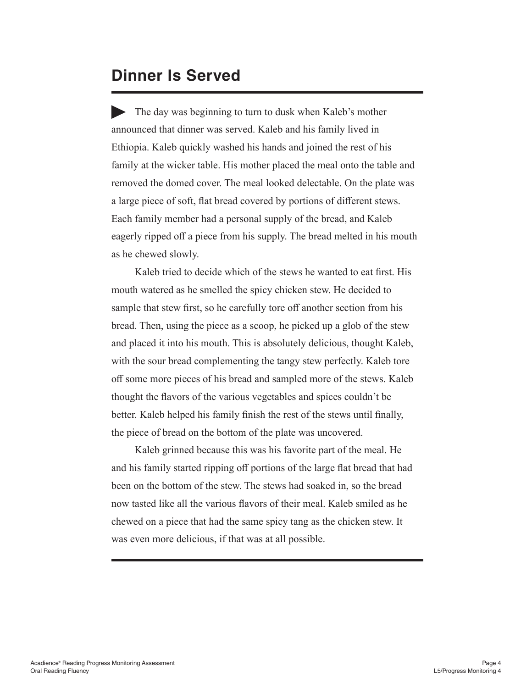#### **Dinner Is Served**

The day was beginning to turn to dusk when Kaleb's mother announced that dinner was served. Kaleb and his family lived in Ethiopia. Kaleb quickly washed his hands and joined the rest of his family at the wicker table. His mother placed the meal onto the table and removed the domed cover. The meal looked delectable. On the plate was a large piece of soft, flat bread covered by portions of different stews. Each family member had a personal supply of the bread, and Kaleb eagerly ripped off a piece from his supply. The bread melted in his mouth as he chewed slowly.

Kaleb tried to decide which of the stews he wanted to eat first. His mouth watered as he smelled the spicy chicken stew. He decided to sample that stew first, so he carefully tore off another section from his bread. Then, using the piece as a scoop, he picked up a glob of the stew and placed it into his mouth. This is absolutely delicious, thought Kaleb, with the sour bread complementing the tangy stew perfectly. Kaleb tore off some more pieces of his bread and sampled more of the stews. Kaleb thought the flavors of the various vegetables and spices couldn't be better. Kaleb helped his family finish the rest of the stews until finally, the piece of bread on the bottom of the plate was uncovered.

Kaleb grinned because this was his favorite part of the meal. He and his family started ripping off portions of the large flat bread that had been on the bottom of the stew. The stews had soaked in, so the bread now tasted like all the various flavors of their meal. Kaleb smiled as he chewed on a piece that had the same spicy tang as the chicken stew. It was even more delicious, if that was at all possible.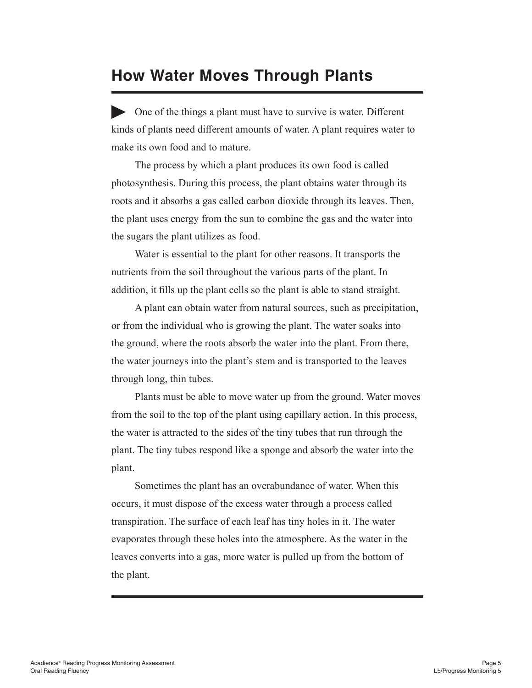#### **How Water Moves Through Plants**

One of the things a plant must have to survive is water. Different kinds of plants need different amounts of water. A plant requires water to make its own food and to mature.

The process by which a plant produces its own food is called photosynthesis. During this process, the plant obtains water through its roots and it absorbs a gas called carbon dioxide through its leaves. Then, the plant uses energy from the sun to combine the gas and the water into the sugars the plant utilizes as food.

Water is essential to the plant for other reasons. It transports the nutrients from the soil throughout the various parts of the plant. In addition, it fills up the plant cells so the plant is able to stand straight.

A plant can obtain water from natural sources, such as precipitation, or from the individual who is growing the plant. The water soaks into the ground, where the roots absorb the water into the plant. From there, the water journeys into the plant's stem and is transported to the leaves through long, thin tubes.

Plants must be able to move water up from the ground. Water moves from the soil to the top of the plant using capillary action. In this process, the water is attracted to the sides of the tiny tubes that run through the plant. The tiny tubes respond like a sponge and absorb the water into the plant.

Sometimes the plant has an overabundance of water. When this occurs, it must dispose of the excess water through a process called transpiration. The surface of each leaf has tiny holes in it. The water evaporates through these holes into the atmosphere. As the water in the leaves converts into a gas, more water is pulled up from the bottom of the plant.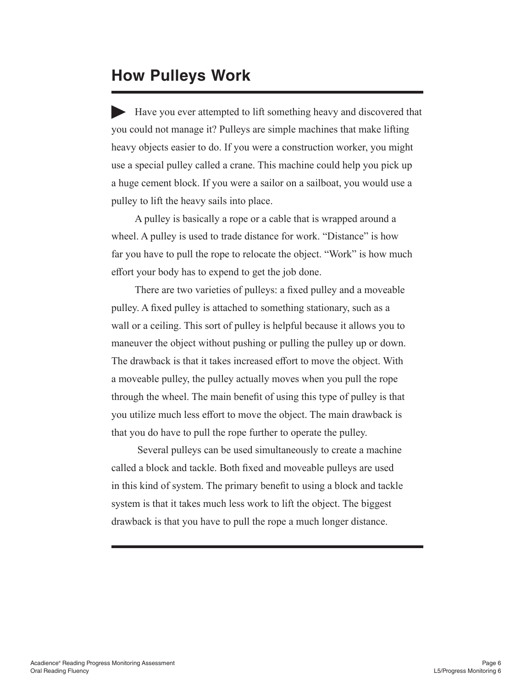#### **How Pulleys Work**

Have you ever attempted to lift something heavy and discovered that you could not manage it? Pulleys are simple machines that make lifting heavy objects easier to do. If you were a construction worker, you might use a special pulley called a crane. This machine could help you pick up a huge cement block. If you were a sailor on a sailboat, you would use a pulley to lift the heavy sails into place.

A pulley is basically a rope or a cable that is wrapped around a wheel. A pulley is used to trade distance for work. "Distance" is how far you have to pull the rope to relocate the object. "Work" is how much effort your body has to expend to get the job done.

There are two varieties of pulleys: a fixed pulley and a moveable pulley. A fixed pulley is attached to something stationary, such as a wall or a ceiling. This sort of pulley is helpful because it allows you to maneuver the object without pushing or pulling the pulley up or down. The drawback is that it takes increased effort to move the object. With a moveable pulley, the pulley actually moves when you pull the rope through the wheel. The main benefit of using this type of pulley is that you utilize much less effort to move the object. The main drawback is that you do have to pull the rope further to operate the pulley.

 Several pulleys can be used simultaneously to create a machine called a block and tackle. Both fixed and moveable pulleys are used in this kind of system. The primary benefit to using a block and tackle system is that it takes much less work to lift the object. The biggest drawback is that you have to pull the rope a much longer distance.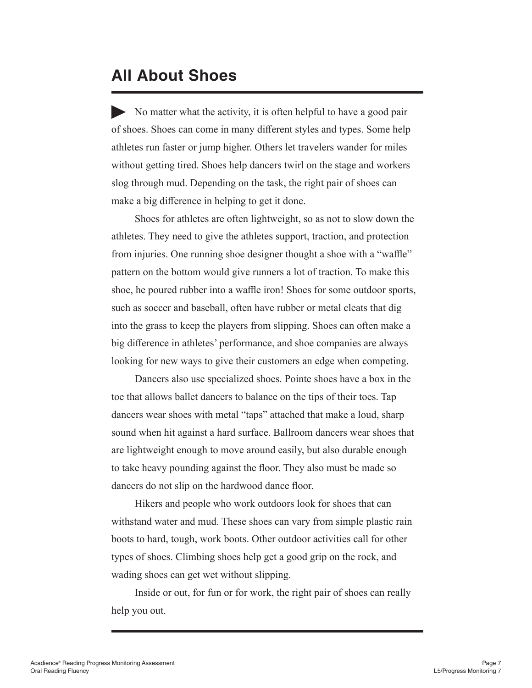#### **All About Shoes**

No matter what the activity, it is often helpful to have a good pair of shoes. Shoes can come in many different styles and types. Some help athletes run faster or jump higher. Others let travelers wander for miles without getting tired. Shoes help dancers twirl on the stage and workers slog through mud. Depending on the task, the right pair of shoes can make a big difference in helping to get it done.

Shoes for athletes are often lightweight, so as not to slow down the athletes. They need to give the athletes support, traction, and protection from injuries. One running shoe designer thought a shoe with a "waffle" pattern on the bottom would give runners a lot of traction. To make this shoe, he poured rubber into a waffle iron! Shoes for some outdoor sports, such as soccer and baseball, often have rubber or metal cleats that dig into the grass to keep the players from slipping. Shoes can often make a big difference in athletes' performance, and shoe companies are always looking for new ways to give their customers an edge when competing.

Dancers also use specialized shoes. Pointe shoes have a box in the toe that allows ballet dancers to balance on the tips of their toes. Tap dancers wear shoes with metal "taps" attached that make a loud, sharp sound when hit against a hard surface. Ballroom dancers wear shoes that are lightweight enough to move around easily, but also durable enough to take heavy pounding against the floor. They also must be made so dancers do not slip on the hardwood dance floor.

Hikers and people who work outdoors look for shoes that can withstand water and mud. These shoes can vary from simple plastic rain boots to hard, tough, work boots. Other outdoor activities call for other types of shoes. Climbing shoes help get a good grip on the rock, and wading shoes can get wet without slipping.

Inside or out, for fun or for work, the right pair of shoes can really help you out.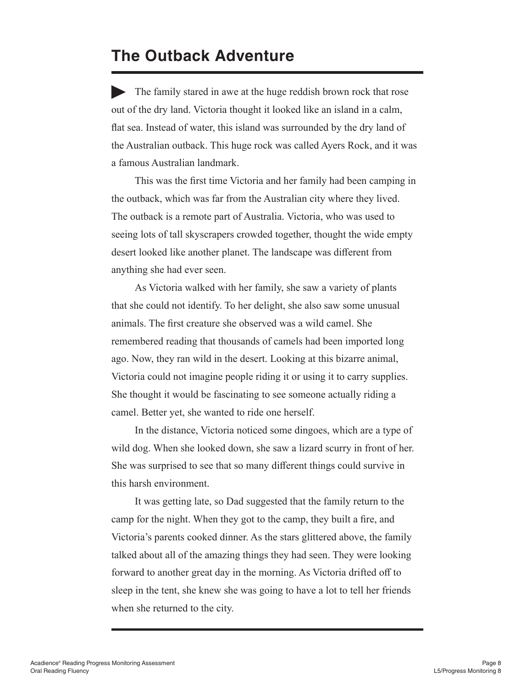#### **The Outback Adventure**

The family stared in awe at the huge reddish brown rock that rose out of the dry land. Victoria thought it looked like an island in a calm, flat sea. Instead of water, this island was surrounded by the dry land of the Australian outback. This huge rock was called Ayers Rock, and it was a famous Australian landmark.

This was the first time Victoria and her family had been camping in the outback, which was far from the Australian city where they lived. The outback is a remote part of Australia. Victoria, who was used to seeing lots of tall skyscrapers crowded together, thought the wide empty desert looked like another planet. The landscape was different from anything she had ever seen.

As Victoria walked with her family, she saw a variety of plants that she could not identify. To her delight, she also saw some unusual animals. The first creature she observed was a wild camel. She remembered reading that thousands of camels had been imported long ago. Now, they ran wild in the desert. Looking at this bizarre animal, Victoria could not imagine people riding it or using it to carry supplies. She thought it would be fascinating to see someone actually riding a camel. Better yet, she wanted to ride one herself.

In the distance, Victoria noticed some dingoes, which are a type of wild dog. When she looked down, she saw a lizard scurry in front of her. She was surprised to see that so many different things could survive in this harsh environment.

It was getting late, so Dad suggested that the family return to the camp for the night. When they got to the camp, they built a fire, and Victoria's parents cooked dinner. As the stars glittered above, the family talked about all of the amazing things they had seen. They were looking forward to another great day in the morning. As Victoria drifted off to sleep in the tent, she knew she was going to have a lot to tell her friends when she returned to the city.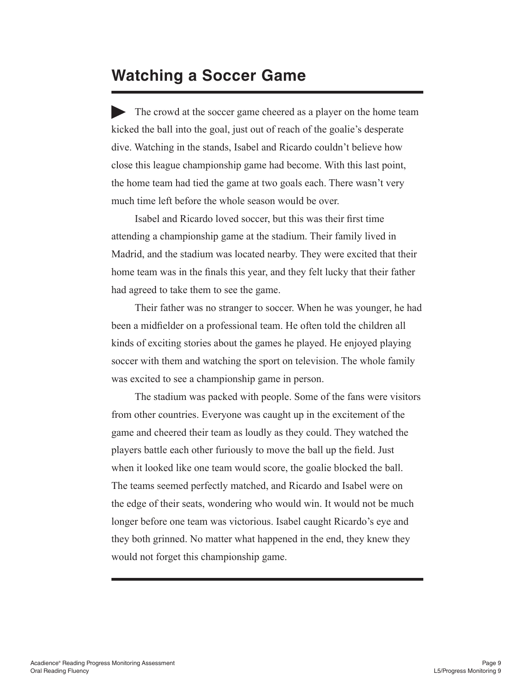#### **Watching a Soccer Game**

The crowd at the soccer game cheered as a player on the home team kicked the ball into the goal, just out of reach of the goalie's desperate dive. Watching in the stands, Isabel and Ricardo couldn't believe how close this league championship game had become. With this last point, the home team had tied the game at two goals each. There wasn't very much time left before the whole season would be over.

Isabel and Ricardo loved soccer, but this was their first time attending a championship game at the stadium. Their family lived in Madrid, and the stadium was located nearby. They were excited that their home team was in the finals this year, and they felt lucky that their father had agreed to take them to see the game.

Their father was no stranger to soccer. When he was younger, he had been a midfielder on a professional team. He often told the children all kinds of exciting stories about the games he played. He enjoyed playing soccer with them and watching the sport on television. The whole family was excited to see a championship game in person.

The stadium was packed with people. Some of the fans were visitors from other countries. Everyone was caught up in the excitement of the game and cheered their team as loudly as they could. They watched the players battle each other furiously to move the ball up the field. Just when it looked like one team would score, the goalie blocked the ball. The teams seemed perfectly matched, and Ricardo and Isabel were on the edge of their seats, wondering who would win. It would not be much longer before one team was victorious. Isabel caught Ricardo's eye and they both grinned. No matter what happened in the end, they knew they would not forget this championship game.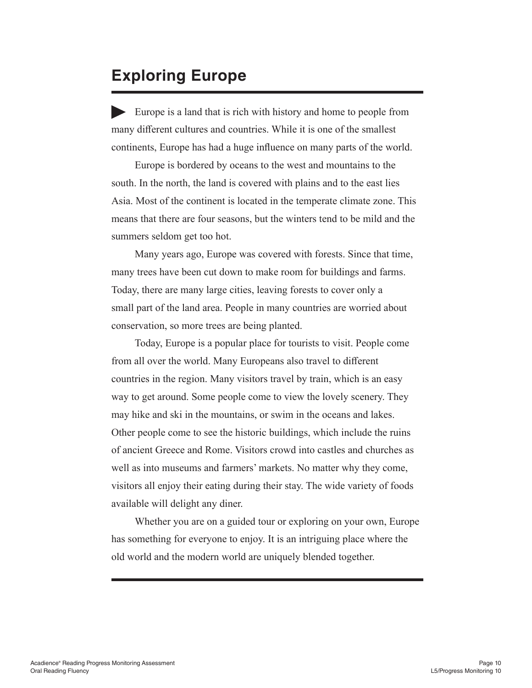#### **Exploring Europe**

Europe is a land that is rich with history and home to people from many different cultures and countries. While it is one of the smallest continents, Europe has had a huge influence on many parts of the world.

Europe is bordered by oceans to the west and mountains to the south. In the north, the land is covered with plains and to the east lies Asia. Most of the continent is located in the temperate climate zone. This means that there are four seasons, but the winters tend to be mild and the summers seldom get too hot.

Many years ago, Europe was covered with forests. Since that time, many trees have been cut down to make room for buildings and farms. Today, there are many large cities, leaving forests to cover only a small part of the land area. People in many countries are worried about conservation, so more trees are being planted.

Today, Europe is a popular place for tourists to visit. People come from all over the world. Many Europeans also travel to different countries in the region. Many visitors travel by train, which is an easy way to get around. Some people come to view the lovely scenery. They may hike and ski in the mountains, or swim in the oceans and lakes. Other people come to see the historic buildings, which include the ruins of ancient Greece and Rome. Visitors crowd into castles and churches as well as into museums and farmers' markets. No matter why they come, visitors all enjoy their eating during their stay. The wide variety of foods available will delight any diner.

Whether you are on a guided tour or exploring on your own, Europe has something for everyone to enjoy. It is an intriguing place where the old world and the modern world are uniquely blended together.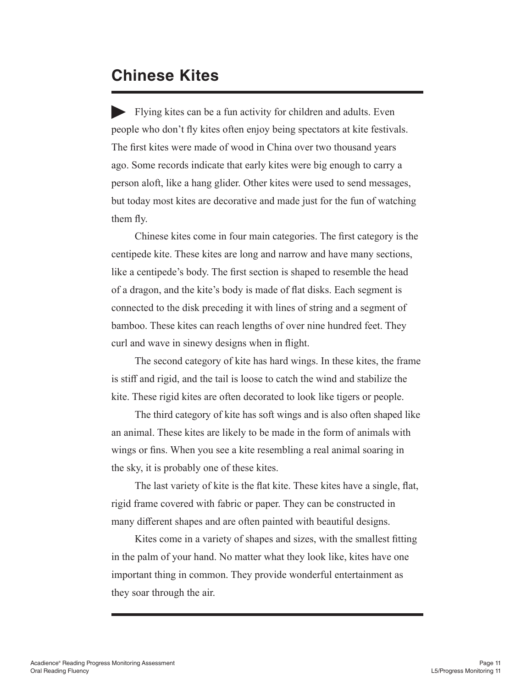#### **Chinese Kites**

Flying kites can be a fun activity for children and adults. Even people who don't fly kites often enjoy being spectators at kite festivals. The first kites were made of wood in China over two thousand years ago. Some records indicate that early kites were big enough to carry a person aloft, like a hang glider. Other kites were used to send messages, but today most kites are decorative and made just for the fun of watching them fly.

Chinese kites come in four main categories. The first category is the centipede kite. These kites are long and narrow and have many sections, like a centipede's body. The first section is shaped to resemble the head of a dragon, and the kite's body is made of flat disks. Each segment is connected to the disk preceding it with lines of string and a segment of bamboo. These kites can reach lengths of over nine hundred feet. They curl and wave in sinewy designs when in flight.

The second category of kite has hard wings. In these kites, the frame is stiff and rigid, and the tail is loose to catch the wind and stabilize the kite. These rigid kites are often decorated to look like tigers or people.

The third category of kite has soft wings and is also often shaped like an animal. These kites are likely to be made in the form of animals with wings or fins. When you see a kite resembling a real animal soaring in the sky, it is probably one of these kites.

The last variety of kite is the flat kite. These kites have a single, flat, rigid frame covered with fabric or paper. They can be constructed in many different shapes and are often painted with beautiful designs.

Kites come in a variety of shapes and sizes, with the smallest fitting in the palm of your hand. No matter what they look like, kites have one important thing in common. They provide wonderful entertainment as they soar through the air.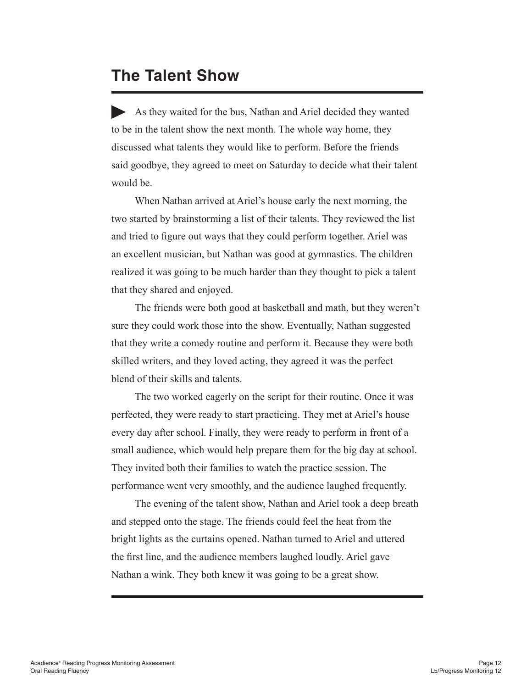#### **The Talent Show**

As they waited for the bus, Nathan and Ariel decided they wanted to be in the talent show the next month. The whole way home, they discussed what talents they would like to perform. Before the friends said goodbye, they agreed to meet on Saturday to decide what their talent would be.

When Nathan arrived at Ariel's house early the next morning, the two started by brainstorming a list of their talents. They reviewed the list and tried to figure out ways that they could perform together. Ariel was an excellent musician, but Nathan was good at gymnastics. The children realized it was going to be much harder than they thought to pick a talent that they shared and enjoyed.

The friends were both good at basketball and math, but they weren't sure they could work those into the show. Eventually, Nathan suggested that they write a comedy routine and perform it. Because they were both skilled writers, and they loved acting, they agreed it was the perfect blend of their skills and talents.

The two worked eagerly on the script for their routine. Once it was perfected, they were ready to start practicing. They met at Ariel's house every day after school. Finally, they were ready to perform in front of a small audience, which would help prepare them for the big day at school. They invited both their families to watch the practice session. The performance went very smoothly, and the audience laughed frequently.

The evening of the talent show, Nathan and Ariel took a deep breath and stepped onto the stage. The friends could feel the heat from the bright lights as the curtains opened. Nathan turned to Ariel and uttered the first line, and the audience members laughed loudly. Ariel gave Nathan a wink. They both knew it was going to be a great show.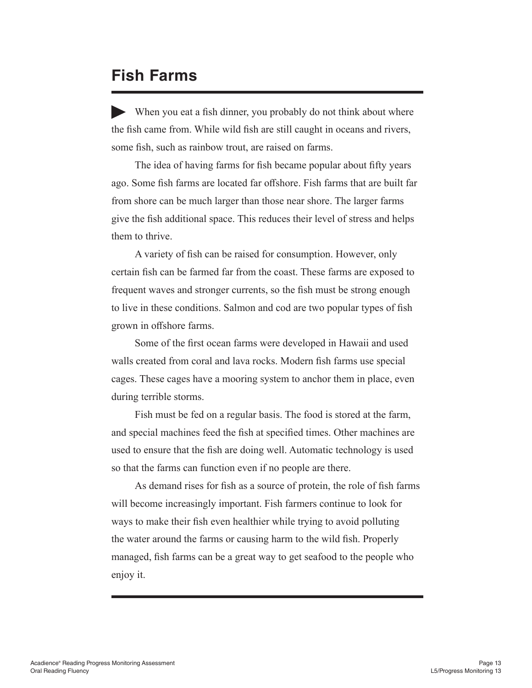#### **Fish Farms**

When you eat a fish dinner, you probably do not think about where the fish came from. While wild fish are still caught in oceans and rivers, some fish, such as rainbow trout, are raised on farms.

The idea of having farms for fish became popular about fifty years ago. Some fish farms are located far offshore. Fish farms that are built far from shore can be much larger than those near shore. The larger farms give the fish additional space. This reduces their level of stress and helps them to thrive.

A variety of fish can be raised for consumption. However, only certain fish can be farmed far from the coast. These farms are exposed to frequent waves and stronger currents, so the fish must be strong enough to live in these conditions. Salmon and cod are two popular types of fish grown in offshore farms.

Some of the first ocean farms were developed in Hawaii and used walls created from coral and lava rocks. Modern fish farms use special cages. These cages have a mooring system to anchor them in place, even during terrible storms.

Fish must be fed on a regular basis. The food is stored at the farm, and special machines feed the fish at specified times. Other machines are used to ensure that the fish are doing well. Automatic technology is used so that the farms can function even if no people are there.

As demand rises for fish as a source of protein, the role of fish farms will become increasingly important. Fish farmers continue to look for ways to make their fish even healthier while trying to avoid polluting the water around the farms or causing harm to the wild fish. Properly managed, fish farms can be a great way to get seafood to the people who enjoy it.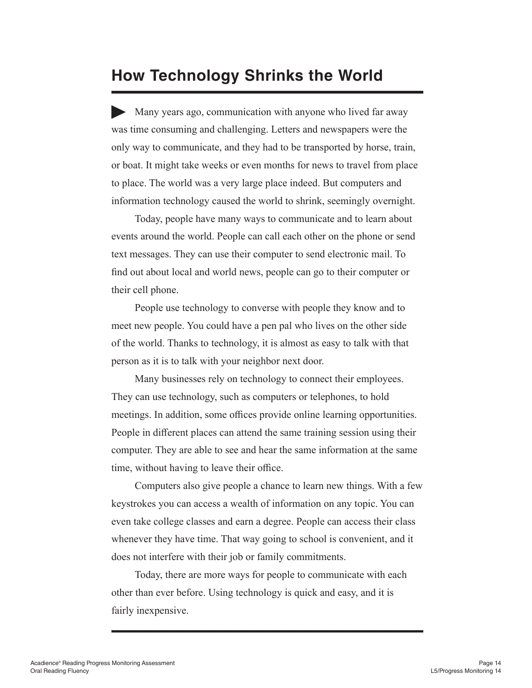#### **How Technology Shrinks the World**

Many years ago, communication with anyone who lived far away was time consuming and challenging. Letters and newspapers were the only way to communicate, and they had to be transported by horse, train, or boat. It might take weeks or even months for news to travel from place to place. The world was a very large place indeed. But computers and information technology caused the world to shrink, seemingly overnight.

Today, people have many ways to communicate and to learn about events around the world. People can call each other on the phone or send text messages. They can use their computer to send electronic mail. To find out about local and world news, people can go to their computer or their cell phone.

People use technology to converse with people they know and to meet new people. You could have a pen pal who lives on the other side of the world. Thanks to technology, it is almost as easy to talk with that person as it is to talk with your neighbor next door.

Many businesses rely on technology to connect their employees. They can use technology, such as computers or telephones, to hold meetings. In addition, some offices provide online learning opportunities. People in different places can attend the same training session using their computer. They are able to see and hear the same information at the same time, without having to leave their office.

Computers also give people a chance to learn new things. With a few keystrokes you can access a wealth of information on any topic. You can even take college classes and earn a degree. People can access their class whenever they have time. That way going to school is convenient, and it does not interfere with their job or family commitments.

Today, there are more ways for people to communicate with each other than ever before. Using technology is quick and easy, and it is fairly inexpensive.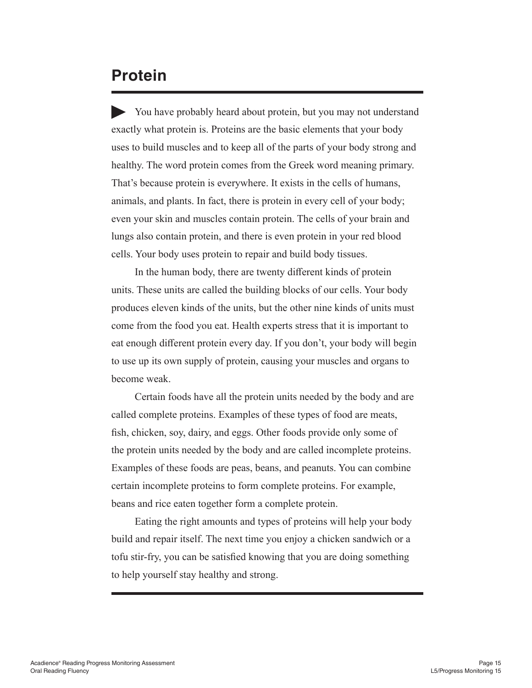#### **Protein**

You have probably heard about protein, but you may not understand exactly what protein is. Proteins are the basic elements that your body uses to build muscles and to keep all of the parts of your body strong and healthy. The word protein comes from the Greek word meaning primary. That's because protein is everywhere. It exists in the cells of humans, animals, and plants. In fact, there is protein in every cell of your body; even your skin and muscles contain protein. The cells of your brain and lungs also contain protein, and there is even protein in your red blood cells. Your body uses protein to repair and build body tissues.

In the human body, there are twenty different kinds of protein units. These units are called the building blocks of our cells. Your body produces eleven kinds of the units, but the other nine kinds of units must come from the food you eat. Health experts stress that it is important to eat enough different protein every day. If you don't, your body will begin to use up its own supply of protein, causing your muscles and organs to become weak.

Certain foods have all the protein units needed by the body and are called complete proteins. Examples of these types of food are meats, fish, chicken, soy, dairy, and eggs. Other foods provide only some of the protein units needed by the body and are called incomplete proteins. Examples of these foods are peas, beans, and peanuts. You can combine certain incomplete proteins to form complete proteins. For example, beans and rice eaten together form a complete protein.

Eating the right amounts and types of proteins will help your body build and repair itself. The next time you enjoy a chicken sandwich or a tofu stir-fry, you can be satisfied knowing that you are doing something to help yourself stay healthy and strong.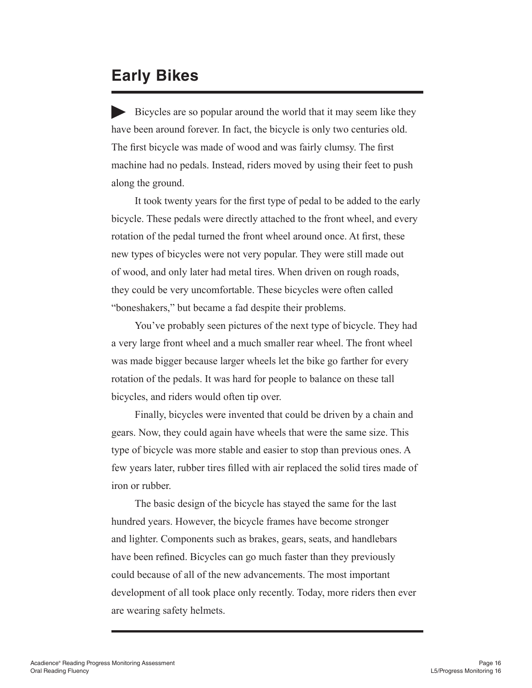#### **Early Bikes**

Bicycles are so popular around the world that it may seem like they have been around forever. In fact, the bicycle is only two centuries old. The first bicycle was made of wood and was fairly clumsy. The first machine had no pedals. Instead, riders moved by using their feet to push along the ground.

It took twenty years for the first type of pedal to be added to the early bicycle. These pedals were directly attached to the front wheel, and every rotation of the pedal turned the front wheel around once. At first, these new types of bicycles were not very popular. They were still made out of wood, and only later had metal tires. When driven on rough roads, they could be very uncomfortable. These bicycles were often called "boneshakers," but became a fad despite their problems.

You've probably seen pictures of the next type of bicycle. They had a very large front wheel and a much smaller rear wheel. The front wheel was made bigger because larger wheels let the bike go farther for every rotation of the pedals. It was hard for people to balance on these tall bicycles, and riders would often tip over.

Finally, bicycles were invented that could be driven by a chain and gears. Now, they could again have wheels that were the same size. This type of bicycle was more stable and easier to stop than previous ones. A few years later, rubber tires filled with air replaced the solid tires made of iron or rubber.

The basic design of the bicycle has stayed the same for the last hundred years. However, the bicycle frames have become stronger and lighter. Components such as brakes, gears, seats, and handlebars have been refined. Bicycles can go much faster than they previously could because of all of the new advancements. The most important development of all took place only recently. Today, more riders then ever are wearing safety helmets.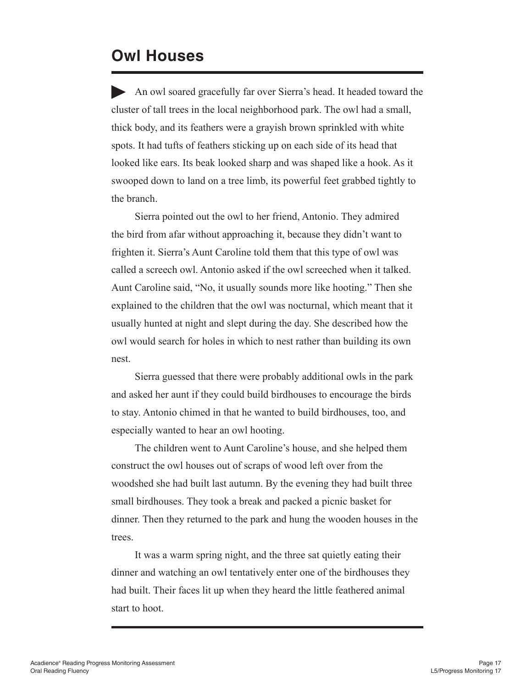#### **Owl Houses**

An owl soared gracefully far over Sierra's head. It headed toward the cluster of tall trees in the local neighborhood park. The owl had a small, thick body, and its feathers were a grayish brown sprinkled with white spots. It had tufts of feathers sticking up on each side of its head that looked like ears. Its beak looked sharp and was shaped like a hook. As it swooped down to land on a tree limb, its powerful feet grabbed tightly to the branch.

Sierra pointed out the owl to her friend, Antonio. They admired the bird from afar without approaching it, because they didn't want to frighten it. Sierra's Aunt Caroline told them that this type of owl was called a screech owl. Antonio asked if the owl screeched when it talked. Aunt Caroline said, "No, it usually sounds more like hooting." Then she explained to the children that the owl was nocturnal, which meant that it usually hunted at night and slept during the day. She described how the owl would search for holes in which to nest rather than building its own nest.

Sierra guessed that there were probably additional owls in the park and asked her aunt if they could build birdhouses to encourage the birds to stay. Antonio chimed in that he wanted to build birdhouses, too, and especially wanted to hear an owl hooting.

The children went to Aunt Caroline's house, and she helped them construct the owl houses out of scraps of wood left over from the woodshed she had built last autumn. By the evening they had built three small birdhouses. They took a break and packed a picnic basket for dinner. Then they returned to the park and hung the wooden houses in the trees.

It was a warm spring night, and the three sat quietly eating their dinner and watching an owl tentatively enter one of the birdhouses they had built. Their faces lit up when they heard the little feathered animal start to hoot.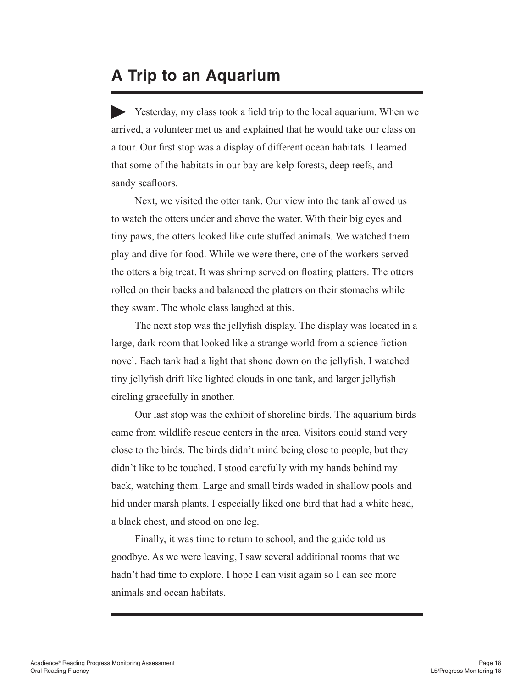#### **A Trip to an Aquarium**

Yesterday, my class took a field trip to the local aquarium. When we arrived, a volunteer met us and explained that he would take our class on a tour. Our first stop was a display of different ocean habitats. I learned that some of the habitats in our bay are kelp forests, deep reefs, and sandy seafloors.

Next, we visited the otter tank. Our view into the tank allowed us to watch the otters under and above the water. With their big eyes and tiny paws, the otters looked like cute stuffed animals. We watched them play and dive for food. While we were there, one of the workers served the otters a big treat. It was shrimp served on floating platters. The otters rolled on their backs and balanced the platters on their stomachs while they swam. The whole class laughed at this.

The next stop was the jellyfish display. The display was located in a large, dark room that looked like a strange world from a science fiction novel. Each tank had a light that shone down on the jellyfish. I watched tiny jellyfish drift like lighted clouds in one tank, and larger jellyfish circling gracefully in another.

Our last stop was the exhibit of shoreline birds. The aquarium birds came from wildlife rescue centers in the area. Visitors could stand very close to the birds. The birds didn't mind being close to people, but they didn't like to be touched. I stood carefully with my hands behind my back, watching them. Large and small birds waded in shallow pools and hid under marsh plants. I especially liked one bird that had a white head, a black chest, and stood on one leg.

Finally, it was time to return to school, and the guide told us goodbye. As we were leaving, I saw several additional rooms that we hadn't had time to explore. I hope I can visit again so I can see more animals and ocean habitats.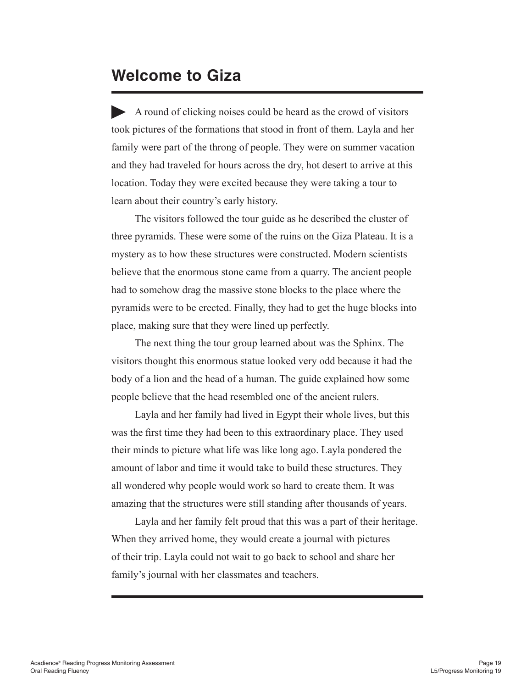#### **Welcome to Giza**

A round of clicking noises could be heard as the crowd of visitors took pictures of the formations that stood in front of them. Layla and her family were part of the throng of people. They were on summer vacation and they had traveled for hours across the dry, hot desert to arrive at this location. Today they were excited because they were taking a tour to learn about their country's early history.

The visitors followed the tour guide as he described the cluster of three pyramids. These were some of the ruins on the Giza Plateau. It is a mystery as to how these structures were constructed. Modern scientists believe that the enormous stone came from a quarry. The ancient people had to somehow drag the massive stone blocks to the place where the pyramids were to be erected. Finally, they had to get the huge blocks into place, making sure that they were lined up perfectly.

The next thing the tour group learned about was the Sphinx. The visitors thought this enormous statue looked very odd because it had the body of a lion and the head of a human. The guide explained how some people believe that the head resembled one of the ancient rulers.

Layla and her family had lived in Egypt their whole lives, but this was the first time they had been to this extraordinary place. They used their minds to picture what life was like long ago. Layla pondered the amount of labor and time it would take to build these structures. They all wondered why people would work so hard to create them. It was amazing that the structures were still standing after thousands of years.

Layla and her family felt proud that this was a part of their heritage. When they arrived home, they would create a journal with pictures of their trip. Layla could not wait to go back to school and share her family's journal with her classmates and teachers.